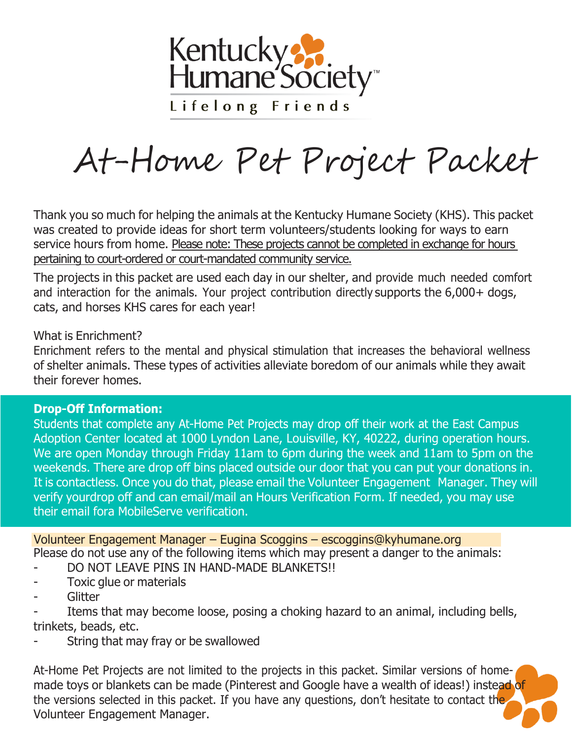

# At-Home Pet Project Packet

Thank you so much for helping the animals at the Kentucky Humane Society (KHS). This packet was created to provide ideas for short term volunteers/students looking for ways to earn service hours from home. Please note: These projects cannot be completed in exchange for hours pertaining to court-ordered or court-mandated community service.

The projects in this packet are used each day in our shelter, and provide much needed comfort and interaction for the animals. Your project contribution directly supports the 6,000+ dogs, cats, and horses KHS cares for each year!

#### What is Enrichment?

Enrichment refers to the mental and physical stimulation that increases the behavioral wellness of shelter animals. These types of activities alleviate boredom of our animals while they await their forever homes.

#### **Drop-Off Information:**

Students that complete any At-Home Pet Projects may drop off their work at the East Campus Adoption Center located at 1000 Lyndon Lane, Louisville, KY, 40222, during operation hours. We are open Monday through Friday 11am to 6pm during the week and 11am to 5pm on the weekends. There are drop off bins placed outside our door that you can put your donations in. It is contactless. Once you do that, please email the Volunteer Engagement Manager. They will verify yourdrop off and can email/mail an Hours Verification Form. If needed, you may use their email fora MobileServe verification.

Please do not use any of the following items which may present a danger to the animals: Volunteer Engagement Manager – Eugina Scoggins – [escoggins@kyhumane.org](mailto:escoggins@kyhumane.org)

- DO NOT LEAVE PINS IN HAND-MADE BLANKETS!!
- Toxic glue or materials
- **Glitter**

Items that may become loose, posing a choking hazard to an animal, including bells, trinkets, beads, etc.

String that may fray or be swallowed

At-Home Pet Projects are not limited to the projects in this packet. Similar versions of homemade toys or blankets can be made (Pinterest and Google have a wealth of ideas!) instead of the versions selected in this packet. If you have any questions, don't hesitate to contact the Volunteer Engagement Manager.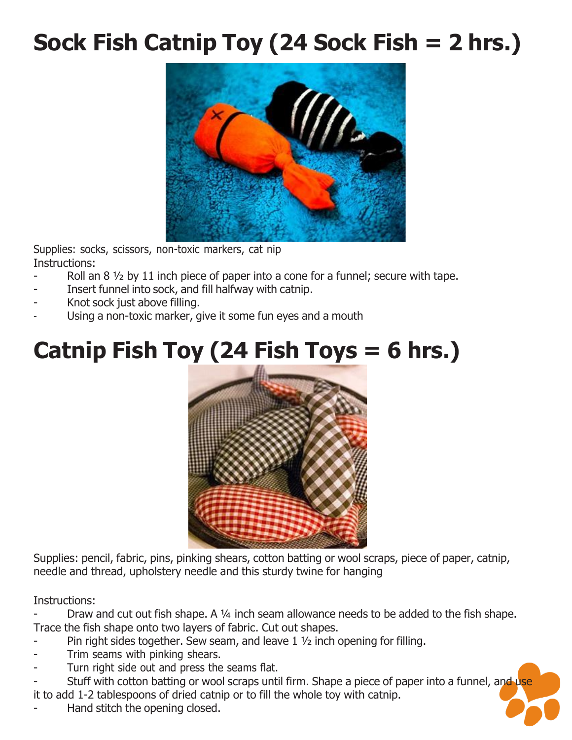#### **Sock Fish Catnip Toy (24 Sock Fish = 2 hrs.)**



Supplies: socks, scissors, non-toxic markers, cat nip Instructions:

- Roll an  $8\frac{1}{2}$  by 11 inch piece of paper into a cone for a funnel; secure with tape.
- Insert funnel into sock, and fill halfway with catnip.
- Knot sock just above filling.
- Using a non-toxic marker, give it some fun eyes and a mouth

#### **Catnip Fish Toy (24 Fish Toys = 6 hrs.)**



Supplies: pencil, fabric, pins, pinking shears, cotton batting or wool scraps, piece of paper, catnip, needle and thread, upholstery needle and this sturdy twine for hanging

Instructions:

Draw and cut out fish shape. A 1/4 inch seam allowance needs to be added to the fish shape. Trace the fish shape onto two layers of fabric. Cut out shapes.

- Pin right sides together. Sew seam, and leave  $1\frac{1}{2}$  inch opening for filling.
- Trim seams with pinking shears.
- Turn right side out and press the seams flat.

Stuff with cotton batting or wool scraps until firm. Shape a piece of paper into a funnel, and use it to add 1-2 tablespoons of dried catnip or to fill the whole toy with catnip.

Hand stitch the opening closed.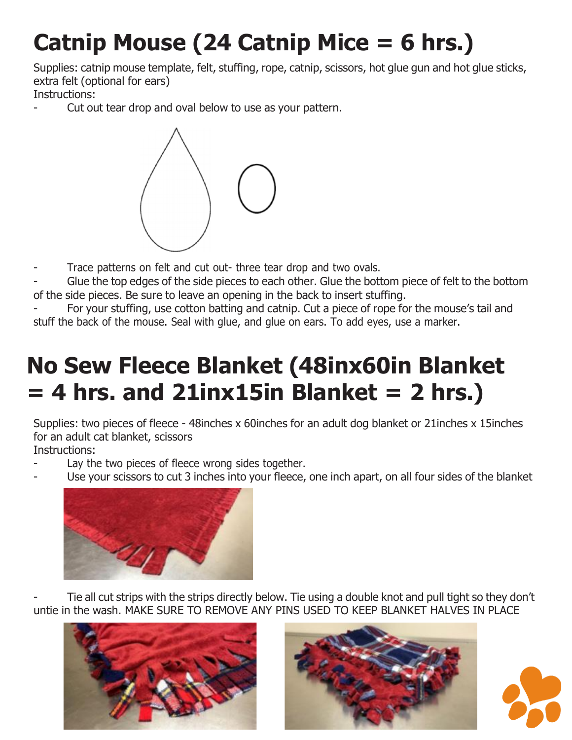### **Catnip Mouse (24 Catnip Mice = 6 hrs.)**

Supplies: catnip mouse template, felt, stuffing, rope, catnip, scissors, hot glue gun and hot glue sticks, extra felt (optional for ears)

Instructions:

Cut out tear drop and oval below to use as your pattern.



- Trace patterns on felt and cut out- three tear drop and two ovals.
- Glue the top edges of the side pieces to each other. Glue the bottom piece of felt to the bottom of the side pieces. Be sure to leave an opening in the back to insert stuffing.

For your stuffing, use cotton batting and catnip. Cut a piece of rope for the mouse's tail and stuff the back of the mouse. Seal with glue, and glue on ears. To add eyes, use a marker.

#### **No Sew Fleece Blanket (48inx60in Blanket = 4 hrs. and 21inx15in Blanket = 2 hrs.)**

Supplies: two pieces of fleece - 48inches x 60inches for an adult dog blanket or 21inches x 15inches for an adult cat blanket, scissors

Instructions:

- Lay the two pieces of fleece wrong sides together.
	- Use your scissors to cut 3 inches into your fleece, one inch apart, on all four sides of the blanket



Tie all cut strips with the strips directly below. Tie using a double knot and pull tight so they don't untie in the wash. MAKE SURE TO REMOVE ANY PINS USED TO KEEP BLANKET HALVES IN PLACE





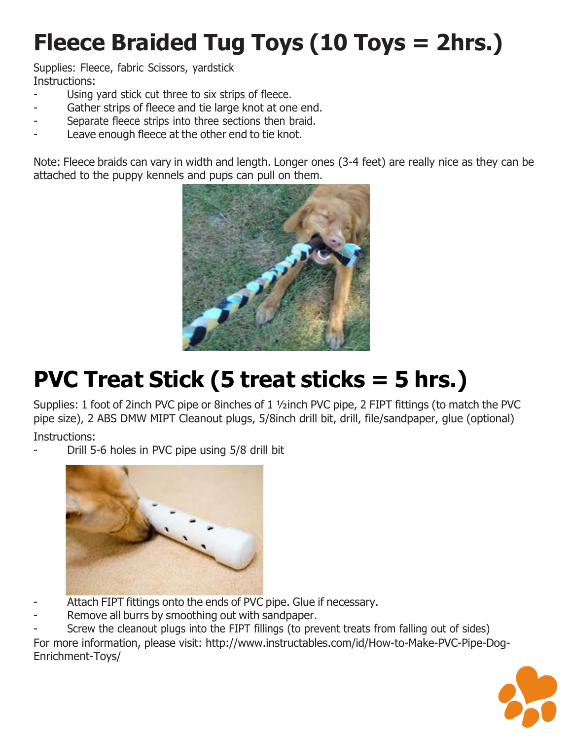### **Fleece Braided Tug Toys (10 Toys = 2hrs.)**

Supplies: Fleece, fabric Scissors, yardstick Instructions:

- Using yard stick cut three to six strips of fleece.
- Gather strips of fleece and tie large knot at one end.
- Separate fleece strips into three sections then braid.
- Leave enough fleece at the other end to tie knot.

Note: Fleece braids can vary in width and length. Longer ones (3-4 feet) are really nice as they can be attached to the puppy kennels and pups can pull on them.



### **PVC Treat Stick (5 treat sticks = 5 hrs.)**

Supplies: 1 foot of 2inch PVC pipe or 8inches of 1 ½inch PVC pipe, 2 FIPT fittings (to match the PVC pipe size), 2 ABS DMW MIPT Cleanout plugs, 5/8inch drill bit, drill, file/sandpaper, glue (optional) Instructions:

Drill 5-6 holes in PVC pipe using 5/8 drill bit



- Attach FIPT fittings onto the ends of PVC pipe. Glue if necessary.
- Remove all burrs by smoothing out with sandpaper.
- Screw the cleanout plugs into the FIPT fillings (to prevent treats from falling out of sides)

For more information, please visit:<http://www.instructables.com/id/How-to-Make-PVC-Pipe-Dog->Enrichment-Toys/

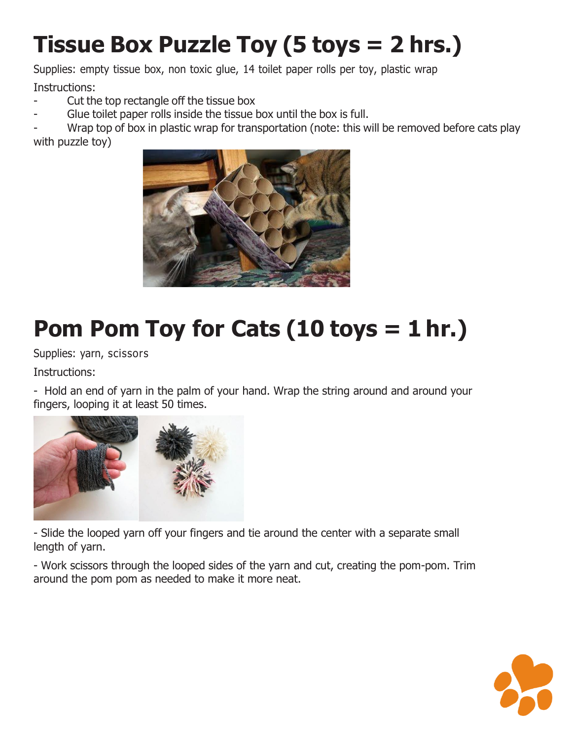#### **Tissue Box Puzzle Toy (5 toys = 2 hrs.)**

Supplies: empty tissue box, non toxic glue, 14 toilet paper rolls per toy, plastic wrap

Instructions:

- Cut the top rectangle off the tissue box
- Glue toilet paper rolls inside the tissue box until the box is full.

Wrap top of box in plastic wrap for transportation (note: this will be removed before cats play with puzzle toy)



## **Pom Pom Toy for Cats (10 toys = 1 hr.)**

Supplies: yarn, scissors

Instructions:

- Hold an end of yarn in the palm of your hand. Wrap the string around and around your fingers, looping it at least 50 times.



- Slide the looped yarn off your fingers and tie around the center with a separate small length of yarn.

- Work scissors through the looped sides of the yarn and cut, creating the pom-pom. Trim around the pom pom as needed to make it more neat.

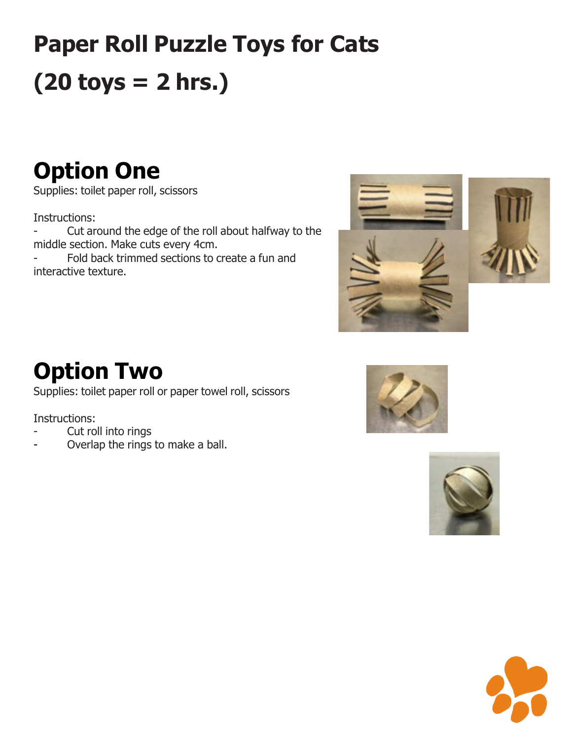# **Paper Roll Puzzle Toys for Cats (20 toys = 2 hrs.)**

#### **Option One**

Supplies: toilet paper roll, scissors

Instructions:

- Cut around the edge of the roll about halfway to the middle section. Make cuts every 4cm.

Fold back trimmed sections to create a fun and interactive texture.



#### **Option Two**

Supplies: toilet paper roll or paper towel roll, scissors

Instructions:

- Cut roll into rings
- Overlap the rings to make a ball.